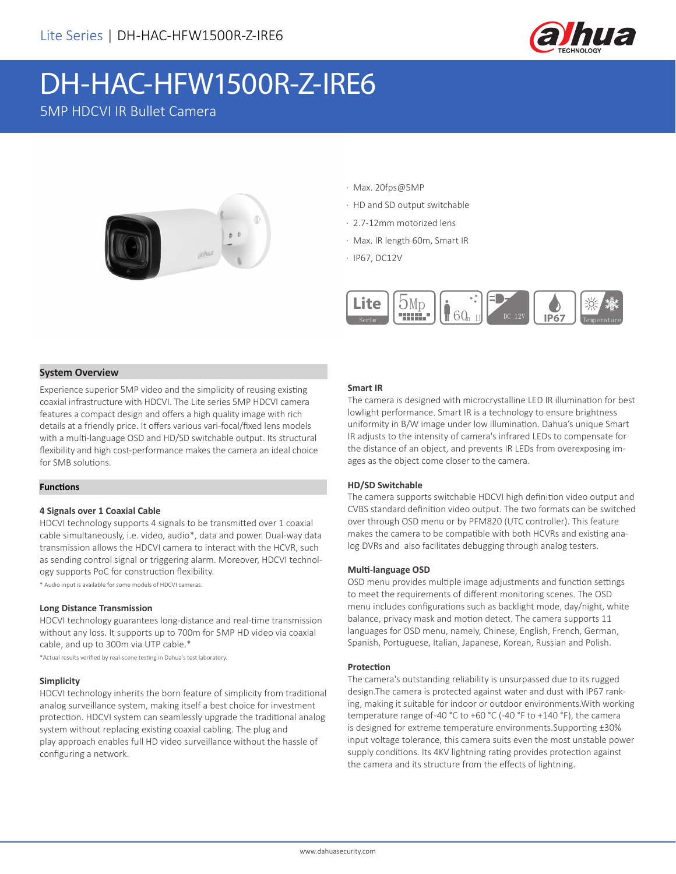

# DH-HAC-HFW1500R-Z-IRE6

5MP HDCVI IR Bullet Camera



- · Max. 20fps@5MP
- · HD and SD output switchable
- · 2.7-12mm motorized lens
- · Max. IR length 60m, Smart IR
- · IP67, DC12V



#### **System Overview**

Experience superior 5MP video and the simplicity of reusing existing coaxial infrastructure with HDCVI. The Lite series 5MP HDCVI camera features a compact design and offers a high quality image with rich details at a friendly price. It offers various vari-focal/fixed lens models with a multi-language OSD and HD/SD switchable output. Its structural flexibility and high cost-performance makes the camera an ideal choice for SMB solutions.

#### **Functions**

#### **4 Signals over 1 Coaxial Cable**

HDCVI technology supports 4 signals to be transmitted over 1 coaxial cable simultaneously, i.e. video, audio\*, data and power. Dual-way data transmission allows the HDCVI camera to interact with the HCVR, such as sending control signal or triggering alarm. Moreover, HDCVI technology supports PoC for construction flexibility.

\* Audio input is available for some models of HDCVI cameras.

#### **Long Distance Transmission**

HDCVI technology guarantees long-distance and real-time transmission without any loss. It supports up to 700m for 5MP HD video via coaxial cable, and up to 300m via UTP cable.\*

\*Actual results verified by real-scene testing in Dahua's test laboratory.

#### **Simplicity**

HDCVI technology inherits the born feature of simplicity from traditional analog surveillance system, making itself a best choice for investment protection. HDCVI system can seamlessly upgrade the traditional analog system without replacing existing coaxial cabling. The plug and play approach enables full HD video surveillance without the hassle of configuring a network.

#### **Smart IR**

The camera is designed with microcrystalline LED IR illumination for best lowlight performance. Smart IR is a technology to ensure brightness uniformity in B/W image under low illumination. Dahua's unique Smart IR adjusts to the intensity of camera's infrared LEDs to compensate for the distance of an object, and prevents IR LEDs from overexposing images as the object come closer to the camera.

#### **HD/SD Switchable**

The camera supports switchable HDCVI high definition video output and CVBS standard definition video output. The two formats can be switched over through OSD menu or by PFM820 (UTC controller). This feature makes the camera to be compatible with both HCVRs and existing analog DVRs and also facilitates debugging through analog testers.

#### **Multi-language OSD**

OSD menu provides multiple image adjustments and function settings to meet the requirements of different monitoring scenes. The OSD menu includes configurations such as backlight mode, day/night, white balance, privacy mask and motion detect. The camera supports 11 languages for OSD menu, namely, Chinese, English, French, German, Spanish, Portuguese, Italian, Japanese, Korean, Russian and Polish.

#### **Protection**

The camera's outstanding reliability is unsurpassed due to its rugged design.The camera is protected against water and dust with IP67 ranking, making it suitable for indoor or outdoor environments.With working temperature range of -40 °C to +60 °C (-40 °F to +140 °F), the camera is designed for extreme temperature environments.Supporting ±30% input voltage tolerance, this camera suits even the most unstable power supply conditions. Its 4KV lightning rating provides protection against the camera and its structure from the effects of lightning.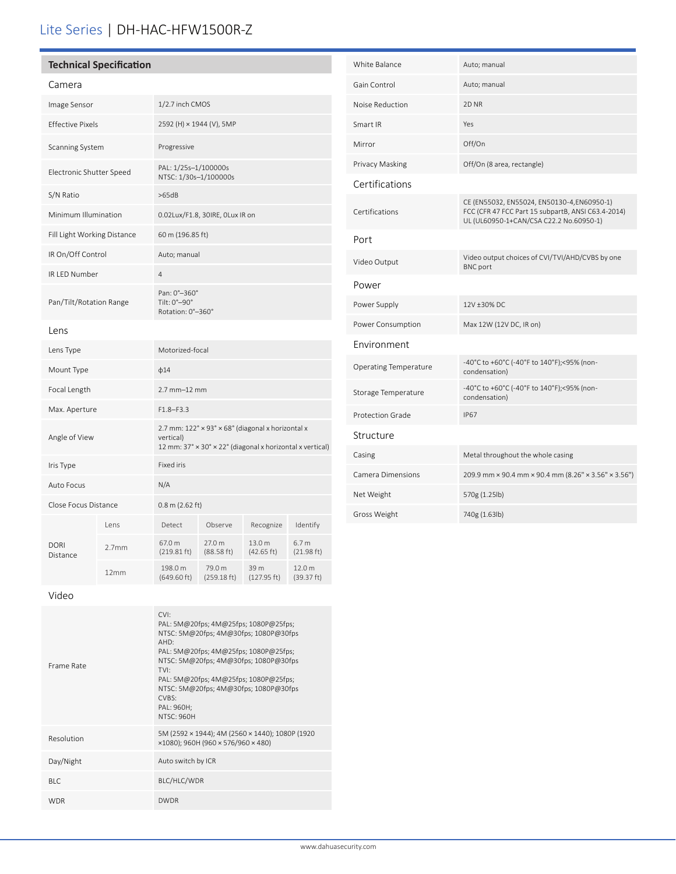# Lite Series | DH-HAC-HFW1500R-Z

| <b>Technical Specification</b> |  |
|--------------------------------|--|
|                                |  |

| Camera                      |                   |                                                                                                                             |                                |                      |                                |  |
|-----------------------------|-------------------|-----------------------------------------------------------------------------------------------------------------------------|--------------------------------|----------------------|--------------------------------|--|
| Image Sensor                |                   | 1/2.7 inch CMOS                                                                                                             |                                |                      |                                |  |
| <b>Effective Pixels</b>     |                   | 2592 (H) × 1944 (V), 5MP                                                                                                    |                                |                      |                                |  |
| Scanning System             |                   | Progressive                                                                                                                 |                                |                      |                                |  |
| Electronic Shutter Speed    |                   | PAL: 1/25s-1/100000s<br>NTSC: 1/30s-1/100000s                                                                               |                                |                      |                                |  |
| S/N Ratio                   |                   |                                                                                                                             | >65dB                          |                      |                                |  |
| Minimum Illumination        |                   | 0.02Lux/F1.8, 30IRE, OLux IR on                                                                                             |                                |                      |                                |  |
| Fill Light Working Distance |                   | 60 m (196.85 ft)                                                                                                            |                                |                      |                                |  |
| IR On/Off Control           |                   | Auto; manual                                                                                                                |                                |                      |                                |  |
| IR LED Number               |                   | $\overline{4}$                                                                                                              |                                |                      |                                |  |
| Pan/Tilt/Rotation Range     |                   | Pan: 0°-360°<br>Tilt: 0°-90°<br>Rotation: 0°-360°                                                                           |                                |                      |                                |  |
| Lens                        |                   |                                                                                                                             |                                |                      |                                |  |
| Lens Type                   |                   | Motorized-focal                                                                                                             |                                |                      |                                |  |
| Mount Type                  |                   | $\phi$ 14                                                                                                                   |                                |                      |                                |  |
| Focal Length                |                   | $2.7$ mm $-12$ mm                                                                                                           |                                |                      |                                |  |
| Max. Aperture               |                   | $F1.8 - F3.3$                                                                                                               |                                |                      |                                |  |
| Angle of View               |                   | 2.7 mm: 122° × 93° × 68° (diagonal x horizontal x<br>vertical)<br>12 mm: 37° × 30° × 22° (diagonal x horizontal x vertical) |                                |                      |                                |  |
| Iris Type                   |                   | <b>Fixed iris</b>                                                                                                           |                                |                      |                                |  |
| Auto Focus                  |                   | N/A                                                                                                                         |                                |                      |                                |  |
| Close Focus Distance        |                   | 0.8 m (2.62 ft)                                                                                                             |                                |                      |                                |  |
|                             | l ens             | Detect                                                                                                                      | Observe                        | Recognize            | Identify                       |  |
| <b>DORI</b><br>Distance     | 2.7 <sub>mm</sub> | 67.0 m<br>$(219.81 \text{ ft})$                                                                                             | 27.0 m<br>$(88.58 \text{ ft})$ | 13.0 m<br>(42.65 ft) | 6.7 <sub>m</sub><br>(21.98 ft) |  |
|                             | 12mm              | 198.0 m<br>$(649.60 \text{ ft})$                                                                                            | 79.0 m<br>(259.18 ft)          | 39 m<br>(127.95 ft)  | 12.0 m<br>(39.37 ft)           |  |
|                             |                   |                                                                                                                             |                                |                      |                                |  |

| White Balance           | Auto; manual                                                                                                                                 |
|-------------------------|----------------------------------------------------------------------------------------------------------------------------------------------|
| Gain Control            | Auto; manual                                                                                                                                 |
| Noise Reduction         | 2D NR                                                                                                                                        |
| Smart IR                | Yes                                                                                                                                          |
| Mirror                  | Off/On                                                                                                                                       |
| Privacy Masking         | Off/On (8 area, rectangle)                                                                                                                   |
| Certifications          |                                                                                                                                              |
| Certifications          | CE (EN55032, EN55024, EN50130-4, EN60950-1)<br>FCC (CFR 47 FCC Part 15 subpartB, ANSI C63.4-2014)<br>UL (UL60950-1+CAN/CSA C22.2 No.60950-1) |
| Port                    |                                                                                                                                              |
| Video Output            | Video output choices of CVI/TVI/AHD/CVBS by one<br><b>BNC</b> port                                                                           |
| Power                   |                                                                                                                                              |
| Power Supply            | 12V ±30% DC                                                                                                                                  |
| Power Consumption       | Max 12W (12V DC, IR on)                                                                                                                      |
| Environment             |                                                                                                                                              |
| Operating Temperature   | -40°C to +60°C (-40°F to 140°F);<95% (non-<br>condensation)                                                                                  |
| Storage Temperature     | -40°C to +60°C (-40°F to 140°F);<95% (non-<br>condensation)                                                                                  |
| <b>Protection Grade</b> | <b>IP67</b>                                                                                                                                  |
| Structure               |                                                                                                                                              |
| Casing                  | Metal throughout the whole casing                                                                                                            |
| Camera Dimensions       | 209.9 mm × 90.4 mm × 90.4 mm (8.26" × 3.56" × 3.56")                                                                                         |
| Net Weight              | 570g (1.25lb)                                                                                                                                |
| Gross Weight            | 740g (1.63lb)                                                                                                                                |

Video

| Frame Rate | CVI<br>PAL: 5M@20fps; 4M@25fps; 1080P@25fps;<br>NTSC: 5M@20fps; 4M@30fps; 1080P@30fps<br>AHD:<br>PAL: 5M@20fps; 4M@25fps; 1080P@25fps;<br>NTSC: 5M@20fps; 4M@30fps; 1080P@30fps<br>TVI:<br>PAL: 5M@20fps; 4M@25fps; 1080P@25fps;<br>NTSC: 5M@20fps; 4M@30fps; 1080P@30fps<br>CVRS<br>PAL: 960H;<br>NTSC·960H |
|------------|--------------------------------------------------------------------------------------------------------------------------------------------------------------------------------------------------------------------------------------------------------------------------------------------------------------|
| Resolution | 5M (2592 × 1944); 4M (2560 × 1440); 1080P (1920<br>$x1080$ ; 960H (960 $x 576/960 x 480$ )                                                                                                                                                                                                                   |
| Day/Night  | Auto switch by ICR                                                                                                                                                                                                                                                                                           |
| BIC.       | BLC/HLC/WDR                                                                                                                                                                                                                                                                                                  |
| <b>WDR</b> | <b>DWDR</b>                                                                                                                                                                                                                                                                                                  |